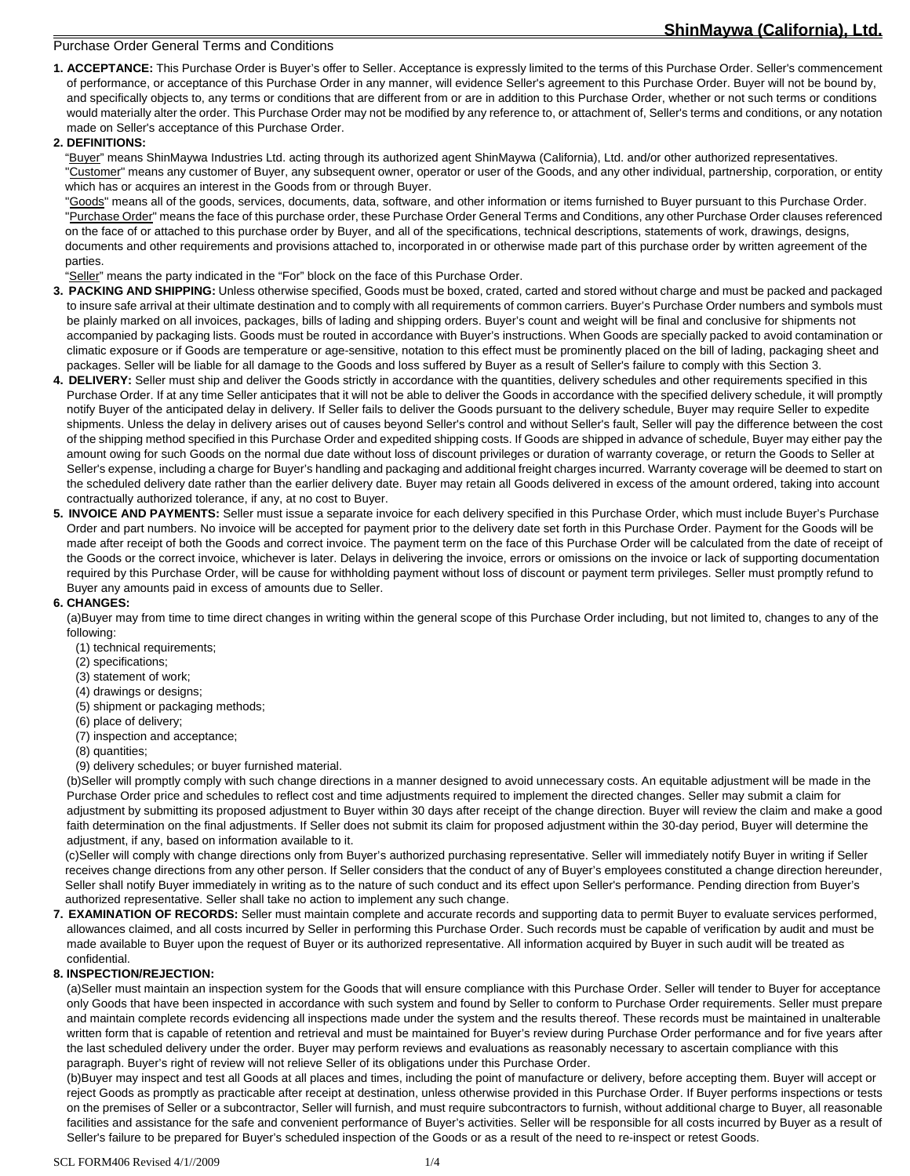# **ShinMaywa (California), Ltd.**

## Purchase Order General Terms and Conditions

**1. ACCEPTANCE:** This Purchase Order is Buyer's offer to Seller. Acceptance is expressly limited to the terms of this Purchase Order. Seller's commencement of performance, or acceptance of this Purchase Order in any manner, will evidence Seller's agreement to this Purchase Order. Buyer will not be bound by, and specifically objects to, any terms or conditions that are different from or are in addition to this Purchase Order, whether or not such terms or conditions would materially alter the order. This Purchase Order may not be modified by any reference to, or attachment of, Seller's terms and conditions, or any notation made on Seller's acceptance of this Purchase Order.

#### **2. DEFINITIONS:**

"Buyer" means ShinMaywa Industries Ltd. acting through its authorized agent ShinMaywa (California), Ltd. and/or other authorized representatives. "Customer" means any customer of Buyer, any subsequent owner, operator or user of the Goods, and any other individual, partnership, corporation, or entity which has or acquires an interest in the Goods from or through Buyer.

"Goods" means all of the goods, services, documents, data, software, and other information or items furnished to Buyer pursuant to this Purchase Order. "Purchase Order" means the face of this purchase order, these Purchase Order General Terms and Conditions, any other Purchase Order clauses referenced on the face of or attached to this purchase order by Buyer, and all of the specifications, technical descriptions, statements of work, drawings, designs, documents and other requirements and provisions attached to, incorporated in or otherwise made part of this purchase order by written agreement of the parties.

"Seller" means the party indicated in the "For" block on the face of this Purchase Order.

- **3. PACKING AND SHIPPING:** Unless otherwise specified, Goods must be boxed, crated, carted and stored without charge and must be packed and packaged to insure safe arrival at their ultimate destination and to comply with all requirements of common carriers. Buyer's Purchase Order numbers and symbols must be plainly marked on all invoices, packages, bills of lading and shipping orders. Buyer's count and weight will be final and conclusive for shipments not accompanied by packaging lists. Goods must be routed in accordance with Buyer's instructions. When Goods are specially packed to avoid contamination or climatic exposure or if Goods are temperature or age-sensitive, notation to this effect must be prominently placed on the bill of lading, packaging sheet and packages. Seller will be liable for all damage to the Goods and loss suffered by Buyer as a result of Seller's failure to comply with this Section 3.
- **4. DELIVERY:** Seller must ship and deliver the Goods strictly in accordance with the quantities, delivery schedules and other requirements specified in this Purchase Order. If at any time Seller anticipates that it will not be able to deliver the Goods in accordance with the specified delivery schedule, it will promptly notify Buyer of the anticipated delay in delivery. If Seller fails to deliver the Goods pursuant to the delivery schedule, Buyer may require Seller to expedite shipments. Unless the delay in delivery arises out of causes beyond Seller's control and without Seller's fault, Seller will pay the difference between the cost of the shipping method specified in this Purchase Order and expedited shipping costs. If Goods are shipped in advance of schedule, Buyer may either pay the amount owing for such Goods on the normal due date without loss of discount privileges or duration of warranty coverage, or return the Goods to Seller at Seller's expense, including a charge for Buyer's handling and packaging and additional freight charges incurred. Warranty coverage will be deemed to start on the scheduled delivery date rather than the earlier delivery date. Buyer may retain all Goods delivered in excess of the amount ordered, taking into account contractually authorized tolerance, if any, at no cost to Buyer.
- **5. INVOICE AND PAYMENTS:** Seller must issue a separate invoice for each delivery specified in this Purchase Order, which must include Buyer's Purchase Order and part numbers. No invoice will be accepted for payment prior to the delivery date set forth in this Purchase Order. Payment for the Goods will be made after receipt of both the Goods and correct invoice. The payment term on the face of this Purchase Order will be calculated from the date of receipt of the Goods or the correct invoice, whichever is later. Delays in delivering the invoice, errors or omissions on the invoice or lack of supporting documentation required by this Purchase Order, will be cause for withholding payment without loss of discount or payment term privileges. Seller must promptly refund to Buyer any amounts paid in excess of amounts due to Seller.

## **6. CHANGES:**

(a)Buyer may from time to time direct changes in writing within the general scope of this Purchase Order including, but not limited to, changes to any of the following:

- (1) technical requirements;
- (2) specifications;
- (3) statement of work;
- (4) drawings or designs;
- (5) shipment or packaging methods;
- (6) place of delivery;
- (7) inspection and acceptance;
- (8) quantities;

(9) delivery schedules; or buyer furnished material.

 (b)Seller will promptly comply with such change directions in a manner designed to avoid unnecessary costs. An equitable adjustment will be made in the Purchase Order price and schedules to reflect cost and time adjustments required to implement the directed changes. Seller may submit a claim for adjustment by submitting its proposed adjustment to Buyer within 30 days after receipt of the change direction. Buyer will review the claim and make a good faith determination on the final adjustments. If Seller does not submit its claim for proposed adjustment within the 30-day period, Buyer will determine the adjustment, if any, based on information available to it.

 (c)Seller will comply with change directions only from Buyer's authorized purchasing representative. Seller will immediately notify Buyer in writing if Seller receives change directions from any other person. If Seller considers that the conduct of any of Buyer's employees constituted a change direction hereunder, Seller shall notify Buyer immediately in writing as to the nature of such conduct and its effect upon Seller's performance. Pending direction from Buyer's authorized representative. Seller shall take no action to implement any such change.

**7. EXAMINATION OF RECORDS:** Seller must maintain complete and accurate records and supporting data to permit Buyer to evaluate services performed, allowances claimed, and all costs incurred by Seller in performing this Purchase Order. Such records must be capable of verification by audit and must be made available to Buyer upon the request of Buyer or its authorized representative. All information acquired by Buyer in such audit will be treated as confidential.

#### **8. INSPECTION/REJECTION:**

 (a)Seller must maintain an inspection system for the Goods that will ensure compliance with this Purchase Order. Seller will tender to Buyer for acceptance only Goods that have been inspected in accordance with such system and found by Seller to conform to Purchase Order requirements. Seller must prepare and maintain complete records evidencing all inspections made under the system and the results thereof. These records must be maintained in unalterable written form that is capable of retention and retrieval and must be maintained for Buyer's review during Purchase Order performance and for five years after the last scheduled delivery under the order. Buyer may perform reviews and evaluations as reasonably necessary to ascertain compliance with this paragraph. Buyer's right of review will not relieve Seller of its obligations under this Purchase Order.

 (b)Buyer may inspect and test all Goods at all places and times, including the point of manufacture or delivery, before accepting them. Buyer will accept or reject Goods as promptly as practicable after receipt at destination, unless otherwise provided in this Purchase Order. If Buyer performs inspections or tests on the premises of Seller or a subcontractor, Seller will furnish, and must require subcontractors to furnish, without additional charge to Buyer, all reasonable facilities and assistance for the safe and convenient performance of Buyer's activities. Seller will be responsible for all costs incurred by Buyer as a result of Seller's failure to be prepared for Buyer's scheduled inspection of the Goods or as a result of the need to re-inspect or retest Goods.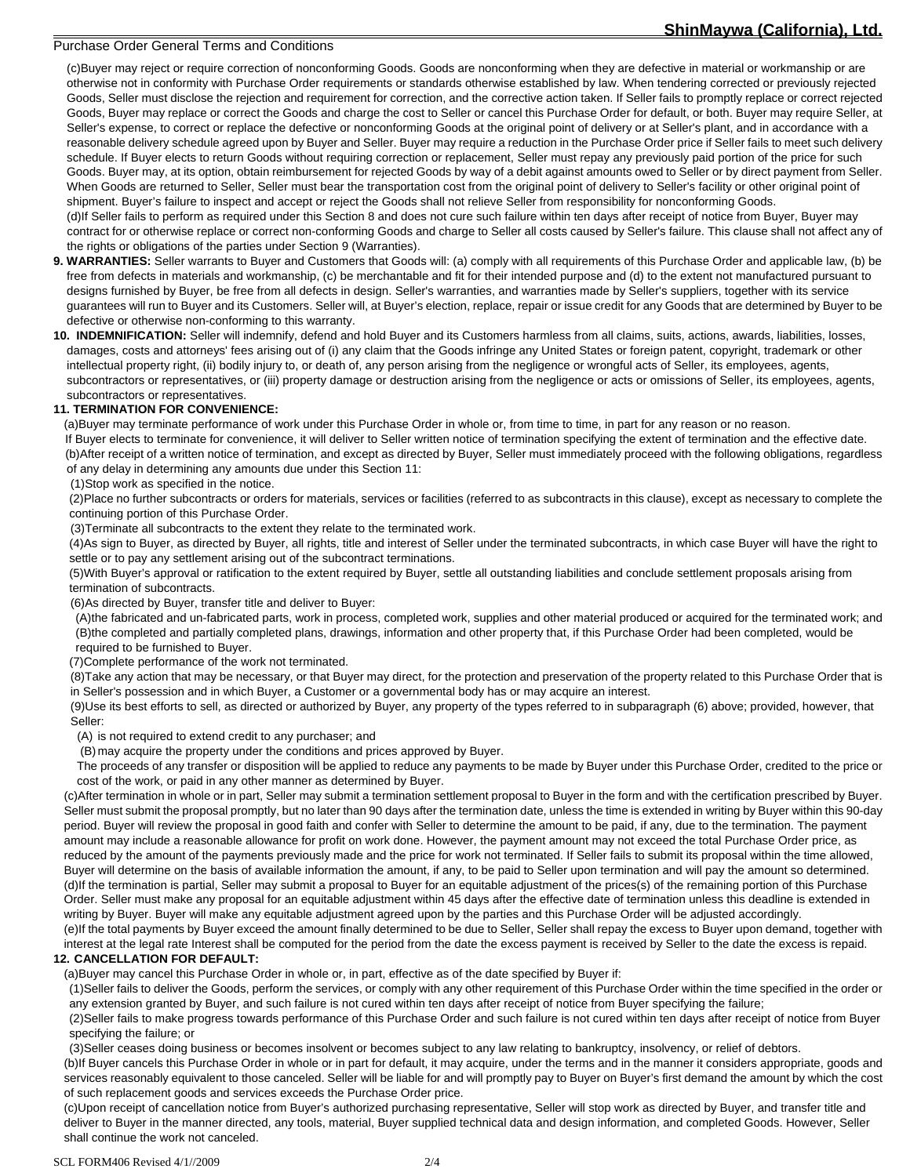## **ShinMaywa (California), Ltd.**

#### Purchase Order General Terms and Conditions

 (c)Buyer may reject or require correction of nonconforming Goods. Goods are nonconforming when they are defective in material or workmanship or are otherwise not in conformity with Purchase Order requirements or standards otherwise established by law. When tendering corrected or previously rejected Goods, Seller must disclose the rejection and requirement for correction, and the corrective action taken. If Seller fails to promptly replace or correct rejected Goods, Buyer may replace or correct the Goods and charge the cost to Seller or cancel this Purchase Order for default, or both. Buyer may require Seller, at Seller's expense, to correct or replace the defective or nonconforming Goods at the original point of delivery or at Seller's plant, and in accordance with a reasonable delivery schedule agreed upon by Buyer and Seller. Buyer may require a reduction in the Purchase Order price if Seller fails to meet such delivery schedule. If Buyer elects to return Goods without requiring correction or replacement, Seller must repay any previously paid portion of the price for such Goods. Buyer may, at its option, obtain reimbursement for rejected Goods by way of a debit against amounts owed to Seller or by direct payment from Seller. When Goods are returned to Seller, Seller must bear the transportation cost from the original point of delivery to Seller's facility or other original point of shipment. Buyer's failure to inspect and accept or reject the Goods shall not relieve Seller from responsibility for nonconforming Goods. (d)If Seller fails to perform as required under this Section 8 and does not cure such failure within ten days after receipt of notice from Buyer, Buyer may contract for or otherwise replace or correct non-conforming Goods and charge to Seller all costs caused by Seller's failure. This clause shall not affect any of the rights or obligations of the parties under Section 9 (Warranties).

- **9. WARRANTIES:** Seller warrants to Buyer and Customers that Goods will: (a) comply with all requirements of this Purchase Order and applicable law, (b) be free from defects in materials and workmanship, (c) be merchantable and fit for their intended purpose and (d) to the extent not manufactured pursuant to designs furnished by Buyer, be free from all defects in design. Seller's warranties, and warranties made by Seller's suppliers, together with its service guarantees will run to Buyer and its Customers. Seller will, at Buyer's election, replace, repair or issue credit for any Goods that are determined by Buyer to be defective or otherwise non-conforming to this warranty.
- **10. INDEMNIFICATION:** Seller will indemnify, defend and hold Buyer and its Customers harmless from all claims, suits, actions, awards, liabilities, losses, damages, costs and attorneys' fees arising out of (i) any claim that the Goods infringe any United States or foreign patent, copyright, trademark or other intellectual property right, (ii) bodily injury to, or death of, any person arising from the negligence or wrongful acts of Seller, its employees, agents, subcontractors or representatives, or (iii) property damage or destruction arising from the negligence or acts or omissions of Seller, its employees, agents, subcontractors or representatives.

## **11. TERMINATION FOR CONVENIENCE:**

(a)Buyer may terminate performance of work under this Purchase Order in whole or, from time to time, in part for any reason or no reason. If Buyer elects to terminate for convenience, it will deliver to Seller written notice of termination specifying the extent of termination and the effective date. (b)After receipt of a written notice of termination, and except as directed by Buyer, Seller must immediately proceed with the following obligations, regardless of any delay in determining any amounts due under this Section 11:

(1)Stop work as specified in the notice.

(2)Place no further subcontracts or orders for materials, services or facilities (referred to as subcontracts in this clause), except as necessary to complete the continuing portion of this Purchase Order.

(3)Terminate all subcontracts to the extent they relate to the terminated work.

(4)As sign to Buyer, as directed by Buyer, all rights, title and interest of Seller under the terminated subcontracts, in which case Buyer will have the right to settle or to pay any settlement arising out of the subcontract terminations.

(5)With Buyer's approval or ratification to the extent required by Buyer, settle all outstanding liabilities and conclude settlement proposals arising from termination of subcontracts.

(6)As directed by Buyer, transfer title and deliver to Buyer:

(A)the fabricated and un-fabricated parts, work in process, completed work, supplies and other material produced or acquired for the terminated work; and (B)the completed and partially completed plans, drawings, information and other property that, if this Purchase Order had been completed, would be required to be furnished to Buyer.

(7)Complete performance of the work not terminated.

(8)Take any action that may be necessary, or that Buyer may direct, for the protection and preservation of the property related to this Purchase Order that is in Seller's possession and in which Buyer, a Customer or a governmental body has or may acquire an interest.

(9)Use its best efforts to sell, as directed or authorized by Buyer, any property of the types referred to in subparagraph (6) above; provided, however, that Seller:

(A) is not required to extend credit to any purchaser; and

(B) may acquire the property under the conditions and prices approved by Buyer.

The proceeds of any transfer or disposition will be applied to reduce any payments to be made by Buyer under this Purchase Order, credited to the price or cost of the work, or paid in any other manner as determined by Buyer.

(c)After termination in whole or in part, Seller may submit a termination settlement proposal to Buyer in the form and with the certification prescribed by Buyer. Seller must submit the proposal promptly, but no later than 90 days after the termination date, unless the time is extended in writing by Buyer within this 90-day period. Buyer will review the proposal in good faith and confer with Seller to determine the amount to be paid, if any, due to the termination. The payment amount may include a reasonable allowance for profit on work done. However, the payment amount may not exceed the total Purchase Order price, as reduced by the amount of the payments previously made and the price for work not terminated. If Seller fails to submit its proposal within the time allowed, Buyer will determine on the basis of available information the amount, if any, to be paid to Seller upon termination and will pay the amount so determined. (d)If the termination is partial, Seller may submit a proposal to Buyer for an equitable adjustment of the prices(s) of the remaining portion of this Purchase Order. Seller must make any proposal for an equitable adjustment within 45 days after the effective date of termination unless this deadline is extended in writing by Buyer. Buyer will make any equitable adjustment agreed upon by the parties and this Purchase Order will be adjusted accordingly.

(e)If the total payments by Buyer exceed the amount finally determined to be due to Seller, Seller shall repay the excess to Buyer upon demand, together with interest at the legal rate Interest shall be computed for the period from the date the excess payment is received by Seller to the date the excess is repaid. **12. CANCELLATION FOR DEFAULT:** 

(a)Buyer may cancel this Purchase Order in whole or, in part, effective as of the date specified by Buyer if:

(1)Seller fails to deliver the Goods, perform the services, or comply with any other requirement of this Purchase Order within the time specified in the order or any extension granted by Buyer, and such failure is not cured within ten days after receipt of notice from Buyer specifying the failure;

(2)Seller fails to make progress towards performance of this Purchase Order and such failure is not cured within ten days after receipt of notice from Buyer specifying the failure; or

(3)Seller ceases doing business or becomes insolvent or becomes subject to any law relating to bankruptcy, insolvency, or relief of debtors.

(b)If Buyer cancels this Purchase Order in whole or in part for default, it may acquire, under the terms and in the manner it considers appropriate, goods and services reasonably equivalent to those canceled. Seller will be liable for and will promptly pay to Buyer on Buyer's first demand the amount by which the cost of such replacement goods and services exceeds the Purchase Order price.

(c)Upon receipt of cancellation notice from Buyer's authorized purchasing representative, Seller will stop work as directed by Buyer, and transfer title and deliver to Buyer in the manner directed, any tools, material, Buyer supplied technical data and design information, and completed Goods. However, Seller shall continue the work not canceled.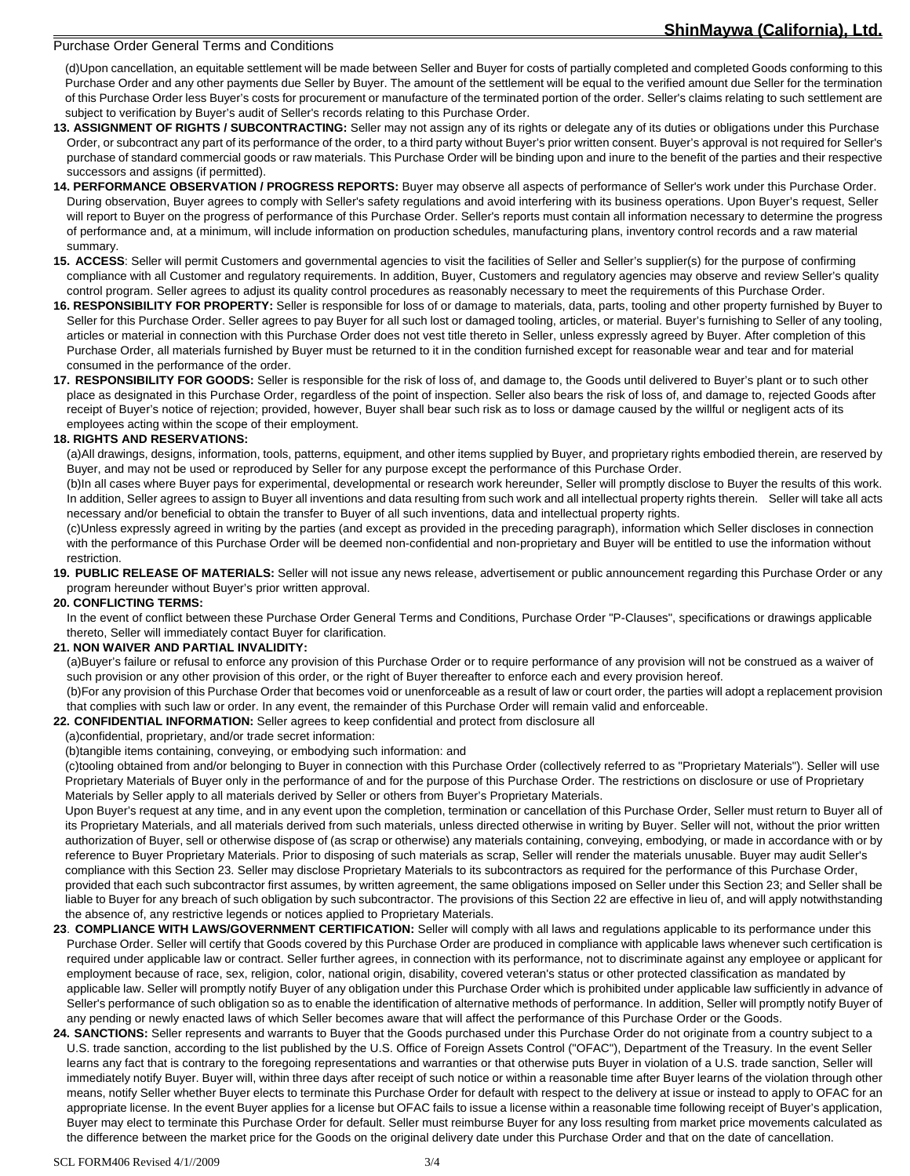#### Purchase Order General Terms and Conditions

(d)Upon cancellation, an equitable settlement will be made between Seller and Buyer for costs of partially completed and completed Goods conforming to this Purchase Order and any other payments due Seller by Buyer. The amount of the settlement will be equal to the verified amount due Seller for the termination of this Purchase Order less Buyer's costs for procurement or manufacture of the terminated portion of the order. Seller's claims relating to such settlement are subject to verification by Buyer's audit of Seller's records relating to this Purchase Order.

- **13. ASSIGNMENT OF RIGHTS / SUBCONTRACTING:** Seller may not assign any of its rights or delegate any of its duties or obligations under this Purchase Order, or subcontract any part of its performance of the order, to a third party without Buyer's prior written consent. Buyer's approval is not required for Seller's purchase of standard commercial goods or raw materials. This Purchase Order will be binding upon and inure to the benefit of the parties and their respective successors and assigns (if permitted).
- **14. PERFORMANCE OBSERVATION / PROGRESS REPORTS:** Buyer may observe all aspects of performance of Seller's work under this Purchase Order. During observation, Buyer agrees to comply with Seller's safety regulations and avoid interfering with its business operations. Upon Buyer's request, Seller will report to Buyer on the progress of performance of this Purchase Order. Seller's reports must contain all information necessary to determine the progress of performance and, at a minimum, will include information on production schedules, manufacturing plans, inventory control records and a raw material summary.
- **15. ACCESS**: Seller will permit Customers and governmental agencies to visit the facilities of Seller and Seller's supplier(s) for the purpose of confirming compliance with all Customer and regulatory requirements. In addition, Buyer, Customers and regulatory agencies may observe and review Seller's quality control program. Seller agrees to adjust its quality control procedures as reasonably necessary to meet the requirements of this Purchase Order.
- **16. RESPONSIBILITY FOR PROPERTY:** Seller is responsible for loss of or damage to materials, data, parts, tooling and other property furnished by Buyer to Seller for this Purchase Order. Seller agrees to pay Buyer for all such lost or damaged tooling, articles, or material. Buyer's furnishing to Seller of any tooling, articles or material in connection with this Purchase Order does not vest title thereto in Seller, unless expressly agreed by Buyer. After completion of this Purchase Order, all materials furnished by Buyer must be returned to it in the condition furnished except for reasonable wear and tear and for material consumed in the performance of the order.
- **17. RESPONSIBILITY FOR GOODS:** Seller is responsible for the risk of loss of, and damage to, the Goods until delivered to Buyer's plant or to such other place as designated in this Purchase Order, regardless of the point of inspection. Seller also bears the risk of loss of, and damage to, rejected Goods after receipt of Buyer's notice of rejection; provided, however, Buyer shall bear such risk as to loss or damage caused by the willful or negligent acts of its employees acting within the scope of their employment.

## **18. RIGHTS AND RESERVATIONS:**

 (a)All drawings, designs, information, tools, patterns, equipment, and other items supplied by Buyer, and proprietary rights embodied therein, are reserved by Buyer, and may not be used or reproduced by Seller for any purpose except the performance of this Purchase Order.

 (b)In all cases where Buyer pays for experimental, developmental or research work hereunder, Seller will promptly disclose to Buyer the results of this work. In addition, Seller agrees to assign to Buyer all inventions and data resulting from such work and all intellectual property rights therein. Seller will take all acts necessary and/or beneficial to obtain the transfer to Buyer of all such inventions, data and intellectual property rights.

 (c)Unless expressly agreed in writing by the parties (and except as provided in the preceding paragraph), information which Seller discloses in connection with the performance of this Purchase Order will be deemed non-confidential and non-proprietary and Buyer will be entitled to use the information without restriction.

**19. PUBLIC RELEASE OF MATERIALS:** Seller will not issue any news release, advertisement or public announcement regarding this Purchase Order or any program hereunder without Buyer's prior written approval.

#### **20. CONFLICTING TERMS:**

 In the event of conflict between these Purchase Order General Terms and Conditions, Purchase Order "P-Clauses", specifications or drawings applicable thereto, Seller will immediately contact Buyer for clarification.

## **21. NON WAIVER AND PARTIAL INVALIDITY:**

 (a)Buyer's failure or refusal to enforce any provision of this Purchase Order or to require performance of any provision will not be construed as a waiver of such provision or any other provision of this order, or the right of Buyer thereafter to enforce each and every provision hereof.

 (b)For any provision of this Purchase Order that becomes void or unenforceable as a result of law or court order, the parties will adopt a replacement provision that complies with such law or order. In any event, the remainder of this Purchase Order will remain valid and enforceable.

**22. CONFIDENTIAL INFORMATION:** Seller agrees to keep confidential and protect from disclosure all

#### (a)confidential, proprietary, and/or trade secret information:

(b)tangible items containing, conveying, or embodying such information: and

(c)tooling obtained from and/or belonging to Buyer in connection with this Purchase Order (collectively referred to as "Proprietary Materials"). Seller will use Proprietary Materials of Buyer only in the performance of and for the purpose of this Purchase Order. The restrictions on disclosure or use of Proprietary Materials by Seller apply to all materials derived by Seller or others from Buyer's Proprietary Materials.

Upon Buyer's request at any time, and in any event upon the completion, termination or cancellation of this Purchase Order, Seller must return to Buyer all of its Proprietary Materials, and all materials derived from such materials, unless directed otherwise in writing by Buyer. Seller will not, without the prior written authorization of Buyer, sell or otherwise dispose of (as scrap or otherwise) any materials containing, conveying, embodying, or made in accordance with or by reference to Buyer Proprietary Materials. Prior to disposing of such materials as scrap, Seller will render the materials unusable. Buyer may audit Seller's compliance with this Section 23. Seller may disclose Proprietary Materials to its subcontractors as required for the performance of this Purchase Order, provided that each such subcontractor first assumes, by written agreement, the same obligations imposed on Seller under this Section 23; and Seller shall be liable to Buyer for any breach of such obligation by such subcontractor. The provisions of this Section 22 are effective in lieu of, and will apply notwithstanding the absence of, any restrictive legends or notices applied to Proprietary Materials.

- **23**. **COMPLIANCE WITH LAWS/GOVERNMENT CERTIFICATION:** Seller will comply with all laws and regulations applicable to its performance under this Purchase Order. Seller will certify that Goods covered by this Purchase Order are produced in compliance with applicable laws whenever such certification is required under applicable law or contract. Seller further agrees, in connection with its performance, not to discriminate against any employee or applicant for employment because of race, sex, religion, color, national origin, disability, covered veteran's status or other protected classification as mandated by applicable law. Seller will promptly notify Buyer of any obligation under this Purchase Order which is prohibited under applicable law sufficiently in advance of Seller's performance of such obligation so as to enable the identification of alternative methods of performance. In addition, Seller will promptly notify Buyer of any pending or newly enacted laws of which Seller becomes aware that will affect the performance of this Purchase Order or the Goods.
- 24. SANCTIONS: Seller represents and warrants to Buyer that the Goods purchased under this Purchase Order do not originate from a country subject to a U.S. trade sanction, according to the list published by the U.S. Office of Foreign Assets Control ("OFAC"), Department of the Treasury. In the event Seller learns any fact that is contrary to the foregoing representations and warranties or that otherwise puts Buyer in violation of a U.S. trade sanction, Seller will immediately notify Buyer. Buyer will, within three days after receipt of such notice or within a reasonable time after Buyer learns of the violation through other means, notify Seller whether Buyer elects to terminate this Purchase Order for default with respect to the delivery at issue or instead to apply to OFAC for an appropriate license. In the event Buyer applies for a license but OFAC fails to issue a license within a reasonable time following receipt of Buyer's application, Buyer may elect to terminate this Purchase Order for default. Seller must reimburse Buyer for any loss resulting from market price movements calculated as the difference between the market price for the Goods on the original delivery date under this Purchase Order and that on the date of cancellation.